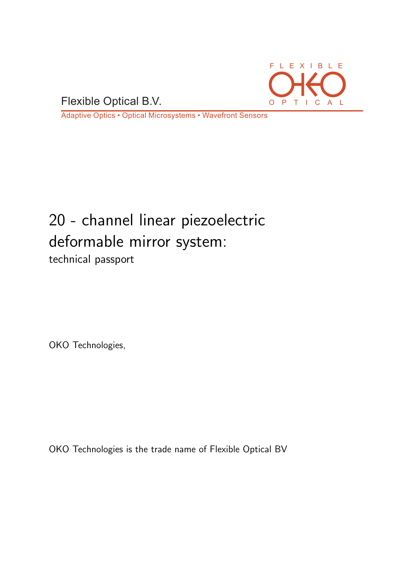Flexible Optical B.V. O P T I C A L



Adaptive Optics • Optical Microsystems • Wavefront Sensors

# 20 - channel linear piezoelectric deformable mirror system: technical passport

OKO Technologies,

OKO Technologies is the trade name of Flexible Optical BV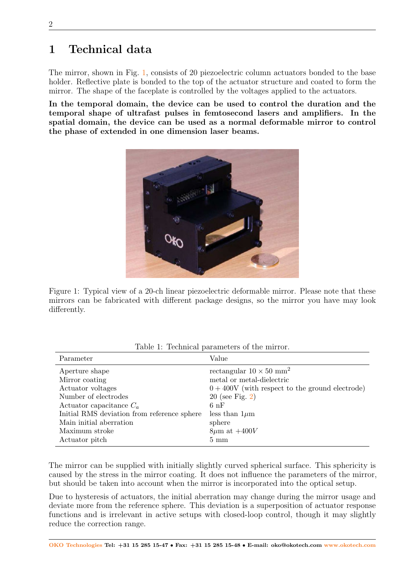## 1 Technical data

The mirror, shown in Fig. [1,](#page-1-0) consists of 20 piezoelectric column actuators bonded to the base holder. Reflective plate is bonded to the top of the actuator structure and coated to form the mirror. The shape of the faceplate is controlled by the voltages applied to the actuators.

<span id="page-1-0"></span>In the temporal domain, the device can be used to control the duration and the temporal shape of ultrafast pulses in femtosecond lasers and amplifiers. In the spatial domain, the device can be used as a normal deformable mirror to control the phase of extended in one dimension laser beams.



Figure 1: Typical view of a 20-ch linear piezoelectric deformable mirror. Please note that these mirrors can be fabricated with different package designs, so the mirror you have may look differently.

| Parameter                                   | Value                                             |
|---------------------------------------------|---------------------------------------------------|
| Aperture shape                              | rectangular $10 \times 50$ mm <sup>2</sup>        |
| Mirror coating                              | metal or metal-dielectric                         |
| Actuator voltages                           | $0 + 400V$ (with respect to the ground electrode) |
| Number of electrodes                        | $20$ (see Fig. 2)                                 |
| Actuator capacitance $C_a$                  | 6nF                                               |
| Initial RMS deviation from reference sphere | less than $1\mu$ m                                |
| Main initial aberration                     | sphere                                            |
| Maximum stroke                              | $8\mu$ m at $+400V$                               |
| Actuator pitch                              | $5 \text{ mm}$                                    |

Table 1: Technical parameters of the mirror.

The mirror can be supplied with initially slightly curved spherical surface. This sphericity is caused by the stress in the mirror coating. It does not influence the parameters of the mirror, but should be taken into account when the mirror is incorporated into the optical setup.

Due to hysteresis of actuators, the initial aberration may change during the mirror usage and deviate more from the reference sphere. This deviation is a superposition of actuator response functions and is irrelevant in active setups with closed-loop control, though it may slightly reduce the correction range.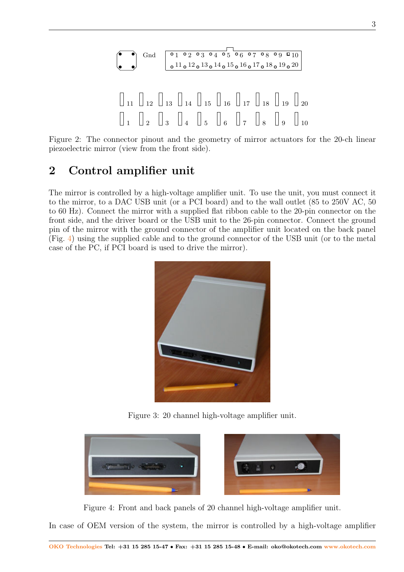<span id="page-2-0"></span>

Figure 2: The connector pinout and the geometry of mirror actuators for the 20-ch linear piezoelectric mirror (view from the front side).

#### 2 Control amplifier unit

The mirror is controlled by a high-voltage amplifier unit. To use the unit, you must connect it to the mirror, to a DAC USB unit (or a PCI board) and to the wall outlet (85 to 250V AC, 50 to 60 Hz). Connect the mirror with a supplied flat ribbon cable to the 20-pin connector on the front side, and the driver board or the USB unit to the 26-pin connector. Connect the ground pin of the mirror with the ground connector of the amplifier unit located on the back panel (Fig. [4\)](#page-2-1) using the supplied cable and to the ground connector of the USB unit (or to the metal case of the PC, if PCI board is used to drive the mirror).



Figure 3: 20 channel high-voltage amplifier unit.

<span id="page-2-1"></span>

Figure 4: Front and back panels of 20 channel high-voltage amplifier unit.

In case of OEM version of the system, the mirror is controlled by a high-voltage amplifier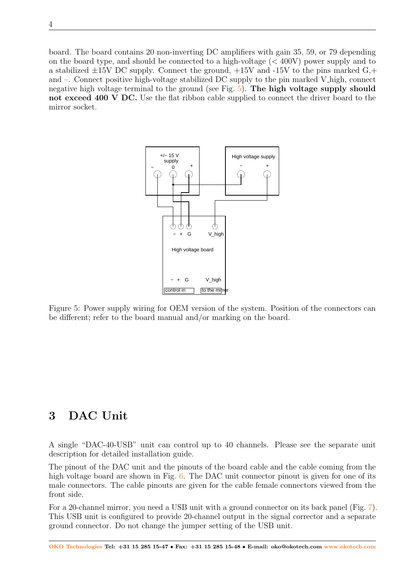board. The board contains 20 non-inverting DC amplifiers with gain 35, 59, or 79 depending on the board type, and should be connected to a high-voltage (< 400V) power supply and to a stabilized  $\pm 15V$  DC supply. Connect the ground,  $+15V$  and  $-15V$  to the pins marked G,+ and –. Connect positive high-voltage stabilized DC supply to the pin marked V high, connect negative high voltage terminal to the ground (see Fig. [5\)](#page-3-0). The high voltage supply should not exceed 400 V DC. Use the flat ribbon cable supplied to connect the driver board to the mirror socket.

<span id="page-3-0"></span>

Figure 5: Power supply wiring for OEM version of the system. Position of the connectors can be different; refer to the board manual and/or marking on the board.

## 3 DAC Unit

A single "DAC-40-USB" unit can control up to 40 channels. Please see the separate unit description for detailed installation guide.

The pinout of the DAC unit and the pinouts of the board cable and the cable coming from the high voltage board are shown in Fig. [6.](#page-4-0) The DAC unit connector pinout is given for one of its male connectors. The cable pinouts are given for the cable female connectors viewed from the front side.

For a 20-channel mirror, you need a USB unit with a ground connector on its back panel (Fig. [7\)](#page-4-1). This USB unit is configured to provide 20-channel output in the signal corrector and a separate ground connector. Do not change the jumper setting of the USB unit.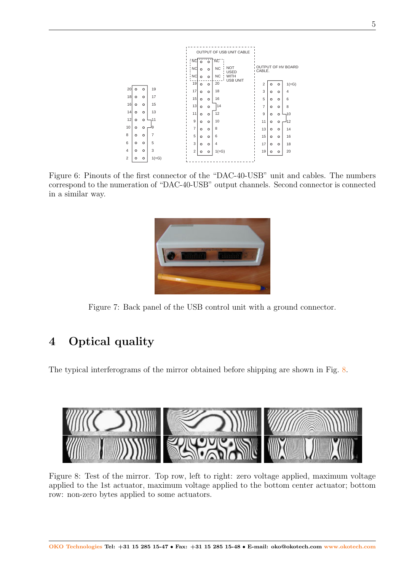<span id="page-4-0"></span>

Figure 6: Pinouts of the first connector of the "DAC-40-USB" unit and cables. The numbers correspond to the numeration of "DAC-40-USB" output channels. Second connector is connected in a similar way.

<span id="page-4-1"></span>

Figure 7: Back panel of the USB control unit with a ground connector.

# 4 Optical quality

The typical interferograms of the mirror obtained before shipping are shown in Fig. [8.](#page-4-2)

<span id="page-4-2"></span>

Figure 8: Test of the mirror. Top row, left to right: zero voltage applied, maximum voltage applied to the 1st actuator, maximum voltage applied to the bottom center actuator; bottom row: non-zero bytes applied to some actuators.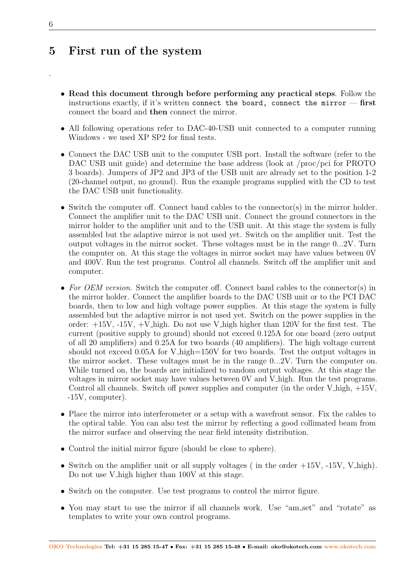#### 5 First run of the system

- Read this document through before performing any practical steps. Follow the instructions exactly, if it's written connect the board, connect the mirror  $-$  first connect the board and then connect the mirror.
- All following operations refer to DAC-40-USB unit connected to a computer running Windows - we used XP SP2 for final tests.
- Connect the DAC USB unit to the computer USB port. Install the software (refer to the DAC USB unit guide) and determine the base address (look at /proc/pci for PROTO 3 boards). Jumpers of JP2 and JP3 of the USB unit are already set to the position 1-2 (20-channel output, no ground). Run the example programs supplied with the CD to test the DAC USB unit functionality.
- Switch the computer off. Connect band cables to the connector(s) in the mirror holder. Connect the amplifier unit to the DAC USB unit. Connect the ground connectors in the mirror holder to the amplifier unit and to the USB unit. At this stage the system is fully assembled but the adaptive mirror is not used yet. Switch on the amplifier unit. Test the output voltages in the mirror socket. These voltages must be in the range 0...2V. Turn the computer on. At this stage the voltages in mirror socket may have values between 0V and 400V. Run the test programs. Control all channels. Switch off the amplifier unit and computer.
- For OEM version. Switch the computer off. Connect band cables to the connector(s) in the mirror holder. Connect the amplifier boards to the DAC USB unit or to the PCI DAC boards, then to low and high voltage power supplies. At this stage the system is fully assembled but the adaptive mirror is not used yet. Switch on the power supplies in the order:  $+15V$ ,  $-15V$ ,  $+V$  high. Do not use V high higher than 120V for the first test. The current (positive supply to ground) should not exceed 0.125A for one board (zero output of all 20 amplifiers) and 0.25A for two boards (40 amplifiers). The high voltage current should not exceed 0.05A for V high=150V for two boards. Test the output voltages in the mirror socket. These voltages must be in the range 0...2V. Turn the computer on. While turned on, the boards are initialized to random output voltages. At this stage the voltages in mirror socket may have values between 0V and V high. Run the test programs. Control all channels. Switch off power supplies and computer (in the order  $V$  high,  $+15V$ , -15V, computer).
- Place the mirror into interferometer or a setup with a wavefront sensor. Fix the cables to the optical table. You can also test the mirror by reflecting a good collimated beam from the mirror surface and observing the near field intensity distribution.
- Control the initial mirror figure (should be close to sphere).
- Switch on the amplifier unit or all supply voltages (in the order  $+15V$ ,  $-15V$ ,  $V\text{high}$ ). Do not use V high higher than 100V at this stage.
- Switch on the computer. Use test programs to control the mirror figure.
- You may start to use the mirror if all channels work. Use "am\_set" and "rotate" as templates to write your own control programs.

.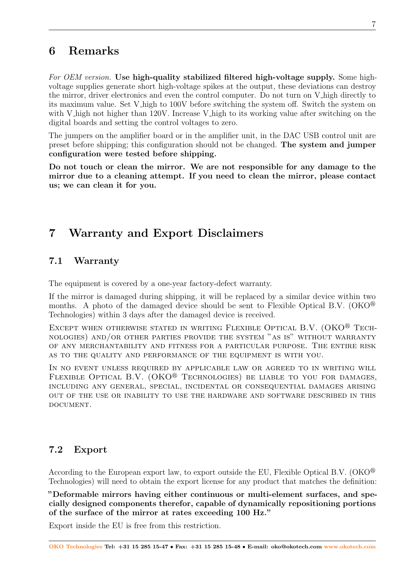# 6 Remarks

For OEM version. Use high-quality stabilized filtered high-voltage supply. Some highvoltage supplies generate short high-voltage spikes at the output, these deviations can destroy the mirror, driver electronics and even the control computer. Do not turn on V high directly to its maximum value. Set V high to 100V before switching the system off. Switch the system on with V high not higher than 120V. Increase V high to its working value after switching on the digital boards and setting the control voltages to zero.

The jumpers on the amplifier board or in the amplifier unit, in the DAC USB control unit are preset before shipping; this configuration should not be changed. The system and jumper configuration were tested before shipping.

Do not touch or clean the mirror. We are not responsible for any damage to the mirror due to a cleaning attempt. If you need to clean the mirror, please contact us; we can clean it for you.

# 7 Warranty and Export Disclaimers

#### 7.1 Warranty

The equipment is covered by a one-year factory-defect warranty.

If the mirror is damaged during shipping, it will be replaced by a similar device within two months. A photo of the damaged device should be sent to Flexible Optical B.V. (OKO $^{\circledR}$ ) Technologies) within 3 days after the damaged device is received.

EXCEPT WHEN OTHERWISE STATED IN WRITING FLEXIBLE OPTICAL B.V.  $(OKO^{\circledR}$  Technologies) and/or other parties provide the system "as is" without warranty of any merchantability and fitness for a particular purpose. The entire risk as to the quality and performance of the equipment is with you.

In no event unless required by applicable law or agreed to in writing will FLEXIBLE OPTICAL B.V. (OKO<sup>®</sup> TECHNOLOGIES) BE LIABLE TO YOU FOR DAMAGES, including any general, special, incidental or consequential damages arising out of the use or inability to use the hardware and software described in this DOCUMENT.

#### 7.2 Export

According to the European export law, to export outside the EU, Flexible Optical B.V. (OKO $^{\circledR}$ ) Technologies) will need to obtain the export license for any product that matches the definition:

"Deformable mirrors having either continuous or multi-element surfaces, and specially designed components therefor, capable of dynamically repositioning portions of the surface of the mirror at rates exceeding 100 Hz."

Export inside the EU is free from this restriction.